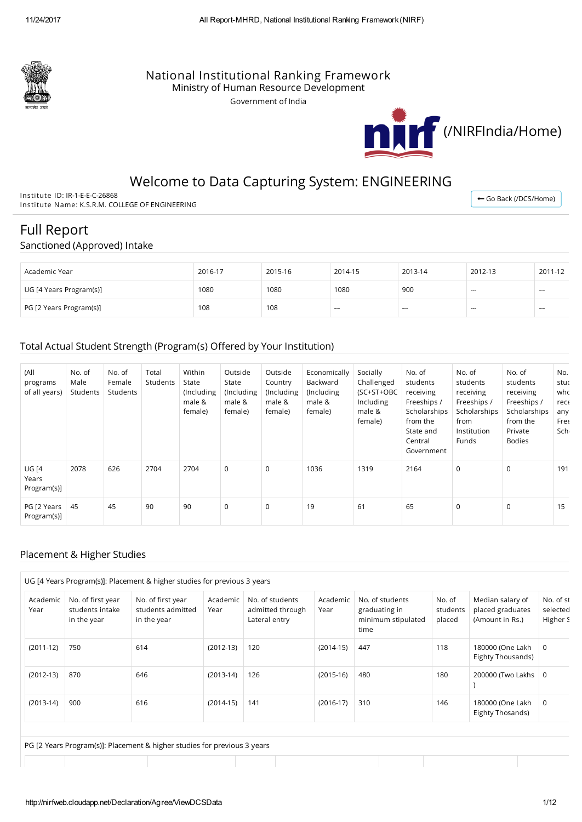

### National Institutional Ranking Framework

Ministry of Human Resource Development

Government of India



## Welcome to Data Capturing System: ENGINEERING

Institute ID: IR-1-E-E-C-26868 Institute Name: K.S.R.M. COLLEGE OF ENGINEERING

← Go Back [\(/DCS/Home\)](http://nirfweb.cloudapp.net/DCS/Home)

# Full Report

#### Sanctioned (Approved) Intake

| Academic Year           | 2016-17 | 2015-16 | 2014-15 | 2013-14  | 2012-13 | 2011-12       |
|-------------------------|---------|---------|---------|----------|---------|---------------|
| UG [4 Years Program(s)] | 1080    | 1080    | 1080    | 900      | $- - -$ | $-$           |
| PG [2 Years Program(s)] | 108     | 108     | $- - -$ | $\cdots$ | $- - -$ | $\frac{1}{2}$ |

#### Total Actual Student Strength (Program(s) Offered by Your Institution)

| (All<br>programs<br>of all years)    | No. of<br>Male<br>Students | No. of<br>Female<br>Students | Total<br>Students | Within<br>State<br>(Including<br>male &<br>female) | Outside<br>State<br>(Including<br>male &<br>female) | Outside<br>Country<br>(Including<br>male &<br>female) | Economically<br>Backward<br>(Including<br>male &<br>female) | Socially<br>Challenged<br>(SC+ST+OBC<br>Including<br>male &<br>female) | No. of<br>students<br>receiving<br>Freeships /<br>Scholarships<br>from the<br>State and<br>Central<br>Government | No. of<br>students<br>receiving<br>Freeships /<br>Scholarships<br>from<br>Institution<br><b>Funds</b> | No. of<br>students<br>receiving<br>Freeships /<br>Scholarships<br>from the<br>Private<br><b>Bodies</b> | No.<br>stuc<br>who<br>rec <sub>f</sub><br>any<br><b>Free</b><br>Sch |
|--------------------------------------|----------------------------|------------------------------|-------------------|----------------------------------------------------|-----------------------------------------------------|-------------------------------------------------------|-------------------------------------------------------------|------------------------------------------------------------------------|------------------------------------------------------------------------------------------------------------------|-------------------------------------------------------------------------------------------------------|--------------------------------------------------------------------------------------------------------|---------------------------------------------------------------------|
| <b>UG [4</b><br>Years<br>Program(s)] | 2078                       | 626                          | 2704              | 2704                                               | $\mathbf 0$                                         | $\mathbf 0$                                           | 1036                                                        | 1319                                                                   | 2164                                                                                                             | $\mathbf 0$                                                                                           | $\Omega$                                                                                               | 191                                                                 |
| PG [2 Years  <br>Program(s)]         | 45                         | 45                           | 90                | 90                                                 | $\mathbf 0$                                         | $\mathbf 0$                                           | 19                                                          | 61                                                                     | 65                                                                                                               | $\mathbf 0$                                                                                           | $\mathbf 0$                                                                                            | 15                                                                  |

#### Placement & Higher Studies

| Academic<br>Year | No. of first year<br>students intake<br>in the year | No. of first year<br>students admitted<br>in the year | Academic<br>Year | No. of students<br>admitted through<br>Lateral entry | Academic<br>Year | No. of students<br>graduating in<br>minimum stipulated<br>time | No. of<br>students<br>placed | Median salary of<br>placed graduates<br>(Amount in Rs.) | No. of st<br>selected<br>Higher S |
|------------------|-----------------------------------------------------|-------------------------------------------------------|------------------|------------------------------------------------------|------------------|----------------------------------------------------------------|------------------------------|---------------------------------------------------------|-----------------------------------|
| $(2011-12)$      | 750                                                 | 614                                                   | $(2012-13)$      | 120                                                  | $(2014-15)$      | 447                                                            | 118                          | 180000 (One Lakh<br>Eighty Thousands)                   | 0                                 |
| $(2012-13)$      | 870                                                 | 646                                                   | $(2013-14)$      | 126                                                  | $(2015-16)$      | 480                                                            | 180                          | 200000 (Two Lakhs                                       | - 0                               |
| $(2013-14)$      | 900                                                 | 616                                                   | $(2014-15)$      | 141                                                  | $(2016-17)$      | 310                                                            | 146                          | 180000 (One Lakh<br>Eighty Thosands)                    | 0                                 |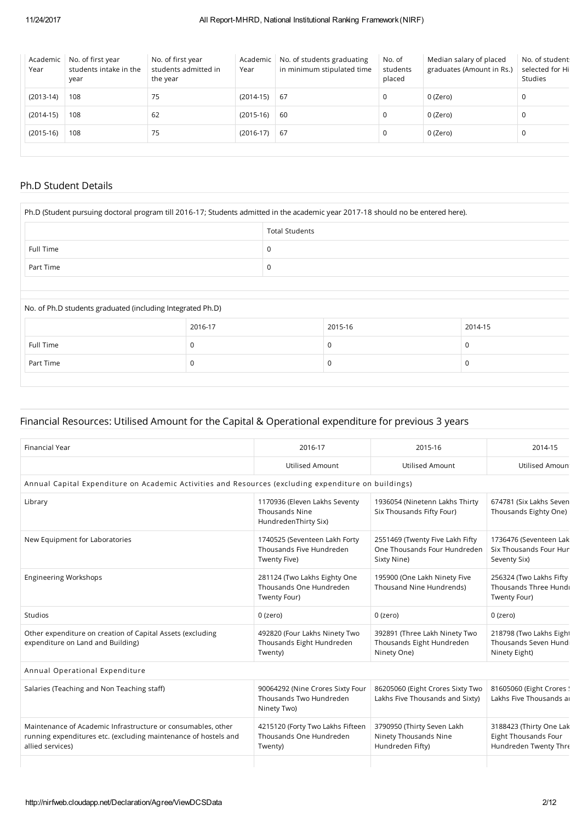| Academic<br>Year | No. of first year<br>students intake in the<br>year | No. of first year<br>students admitted in<br>the year | Academic<br>Year | No. of students graduating<br>in minimum stipulated time | No. of<br>students<br>placed | Median salary of placed<br>graduates (Amount in Rs.) | No. of student<br>selected for Hi<br><b>Studies</b> |
|------------------|-----------------------------------------------------|-------------------------------------------------------|------------------|----------------------------------------------------------|------------------------------|------------------------------------------------------|-----------------------------------------------------|
| $(2013-14)$      | 108                                                 | 75                                                    | $(2014-15)$      | 67                                                       | 0                            | 0 (Zero)                                             | 0                                                   |
| $(2014-15)$      | 108                                                 | 62                                                    | $(2015-16)$      | -60                                                      | 0                            | 0 (Zero)                                             | 0                                                   |
| $(2015-16)$      | 108                                                 | 75                                                    | $(2016-17)$      | -67                                                      | 0                            | 0 (Zero)                                             | 0                                                   |

### Ph.D Student Details

| Ph.D (Student pursuing doctoral program till 2016-17; Students admitted in the academic year 2017-18 should no be entered here). |         |                       |         |         |
|----------------------------------------------------------------------------------------------------------------------------------|---------|-----------------------|---------|---------|
|                                                                                                                                  |         | <b>Total Students</b> |         |         |
| Full Time                                                                                                                        |         | 0                     |         |         |
| Part Time                                                                                                                        |         | 0                     |         |         |
|                                                                                                                                  |         |                       |         |         |
| No. of Ph.D students graduated (including Integrated Ph.D)                                                                       |         |                       |         |         |
|                                                                                                                                  | 2016-17 |                       | 2015-16 | 2014-15 |
| Full Time                                                                                                                        |         |                       | 0       | 0       |
| Part Time                                                                                                                        | 0       |                       | 0       | 0       |

### Financial Resources: Utilised Amount for the Capital & Operational expenditure for previous 3 years

| <b>Financial Year</b>                                                                                                                               | 2016-17                                                                        | 2015-16                                                                        | 2014-15                                                                  |
|-----------------------------------------------------------------------------------------------------------------------------------------------------|--------------------------------------------------------------------------------|--------------------------------------------------------------------------------|--------------------------------------------------------------------------|
|                                                                                                                                                     | <b>Utilised Amount</b>                                                         | <b>Utilised Amount</b>                                                         | <b>Utilised Amoun</b>                                                    |
| Annual Capital Expenditure on Academic Activities and Resources (excluding expenditure on buildings)                                                |                                                                                |                                                                                |                                                                          |
| Library                                                                                                                                             | 1170936 (Eleven Lakhs Seventy<br><b>Thousands Nine</b><br>HundredenThirty Six) | 1936054 (Ninetenn Lakhs Thirty<br>Six Thousands Fifty Four)                    | 674781 (Six Lakhs Seven<br>Thousands Eighty One)                         |
| New Equipment for Laboratories                                                                                                                      | 1740525 (Seventeen Lakh Forty<br>Thousands Five Hundreden<br>Twenty Five)      | 2551469 (Twenty Five Lakh Fifty<br>One Thousands Four Hundreden<br>Sixty Nine) | 1736476 (Seventeen Lak<br>Six Thousands Four Hur<br>Seventy Six)         |
| <b>Engineering Workshops</b>                                                                                                                        | 281124 (Two Lakhs Eighty One<br>Thousands One Hundreden<br>Twenty Four)        | 195900 (One Lakh Ninety Five<br>Thousand Nine Hundrends)                       | 256324 (Two Lakhs Fifty<br>Thousands Three Hundi<br>Twenty Four)         |
| <b>Studios</b>                                                                                                                                      | 0 (zero)                                                                       | 0 (zero)                                                                       | 0 (zero)                                                                 |
| Other expenditure on creation of Capital Assets (excluding<br>expenditure on Land and Building)                                                     | 492820 (Four Lakhs Ninety Two<br>Thousands Eight Hundreden<br>Twenty)          | 392891 (Three Lakh Ninety Two<br>Thousands Eight Hundreden<br>Ninety One)      | 218798 (Two Lakhs Eight<br>Thousands Seven Hund<br>Ninety Eight)         |
| Annual Operational Expenditure                                                                                                                      |                                                                                |                                                                                |                                                                          |
| Salaries (Teaching and Non Teaching staff)                                                                                                          | 90064292 (Nine Crores Sixty Four<br>Thousands Two Hundreden<br>Ninety Two)     | 86205060 (Eight Crores Sixty Two<br>Lakhs Five Thousands and Sixty)            | 81605060 (Eight Crores !<br>Lakhs Five Thousands a                       |
| Maintenance of Academic Infrastructure or consumables, other<br>running expenditures etc. (excluding maintenance of hostels and<br>allied services) | 4215120 (Forty Two Lakhs Fifteen<br>Thousands One Hundreden<br>Twenty)         | 3790950 (Thirty Seven Lakh<br>Ninety Thousands Nine<br>Hundreden Fifty)        | 3188423 (Thirty One Lak<br>Eight Thousands Four<br>Hundreden Twenty Thre |
|                                                                                                                                                     |                                                                                |                                                                                |                                                                          |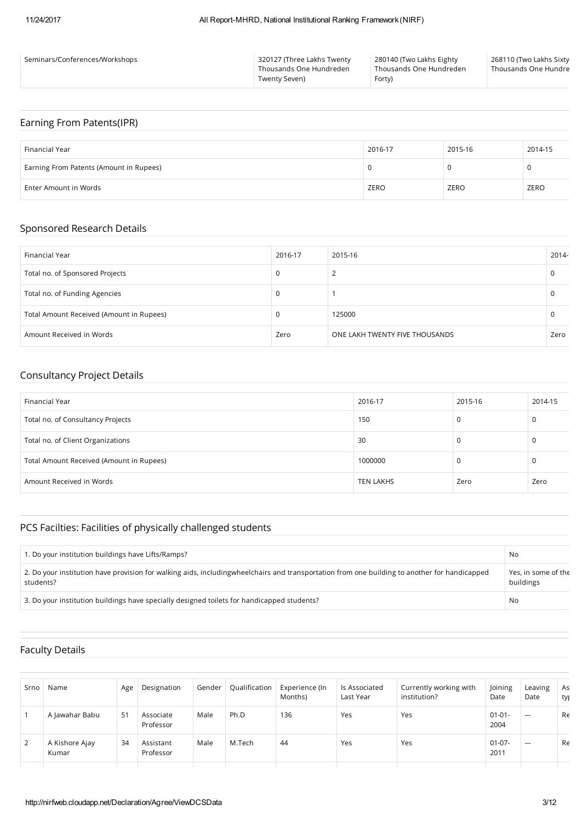| Seminars/Conferences/Workshops | 320127 (Three Lakhs Twenty<br>Thousands One Hundreden<br>Twenty Seven) | 280140 (Two Lakhs Eighty<br>Thousands One Hundreden<br>Forty) | 268110 (Two Lakhs Sixty<br>Thousands One Hundre |
|--------------------------------|------------------------------------------------------------------------|---------------------------------------------------------------|-------------------------------------------------|
|                                |                                                                        |                                                               |                                                 |

### Earning From Patents(IPR)

| Financial Year                          | 2016-17 | 2015-16 | 2014-15 |
|-----------------------------------------|---------|---------|---------|
| Earning From Patents (Amount in Rupees) |         |         | v       |
| Enter Amount in Words                   | ZERO    | ZERO    | ZERO    |

#### Sponsored Research Details

| Financial Year                           | 2016-17 | 2015-16                        | 2014- |
|------------------------------------------|---------|--------------------------------|-------|
| Total no. of Sponsored Projects          | 0       |                                | u     |
| Total no. of Funding Agencies            | 0       |                                |       |
| Total Amount Received (Amount in Rupees) | 0       | 125000                         |       |
| Amount Received in Words                 | Zero    | ONE LAKH TWENTY FIVE THOUSANDS | Zero  |

### Consultancy Project Details

| Financial Year                           | 2016-17   | 2015-16 | 2014-15 |
|------------------------------------------|-----------|---------|---------|
| Total no. of Consultancy Projects        | 150       | 0       | 0       |
| Total no. of Client Organizations        | 30        | 0       | 0       |
| Total Amount Received (Amount in Rupees) | 1000000   | 0       | 0       |
| Amount Received in Words                 | TEN LAKHS | Zero    | Zero    |

### PCS Facilties: Facilities of physically challenged students

| 1. Do your institution buildings have Lifts/Ramps?                                                                                                          | No                               |
|-------------------------------------------------------------------------------------------------------------------------------------------------------------|----------------------------------|
| 2. Do your institution have provision for walking aids, including wheel chairs and transportation from one building to another for handicapped<br>students? | Yes, in some of the<br>buildings |
| 3. Do your institution buildings have specially designed toilets for handicapped students?                                                                  | No                               |

#### Faculty Details

| Srno | Name                    | Age | Designation            | Gender | Qualification | Experience (In<br>Months) | Is Associated<br>Last Year | Currently working with<br>institution? | Joining<br>Date     | Leaving<br>Date | As<br>tyj |
|------|-------------------------|-----|------------------------|--------|---------------|---------------------------|----------------------------|----------------------------------------|---------------------|-----------------|-----------|
|      | A Jawahar Babu          | 51  | Associate<br>Professor | Male   | Ph.D          | 136                       | Yes                        | Yes                                    | $01 - 01 -$<br>2004 | $-$             | Re        |
| 2    | A Kishore Ajay<br>Kumar | 34  | Assistant<br>Professor | Male   | M.Tech        | 44                        | Yes                        | Yes                                    | $01 - 07 -$<br>2011 | $\cdots$        | Re        |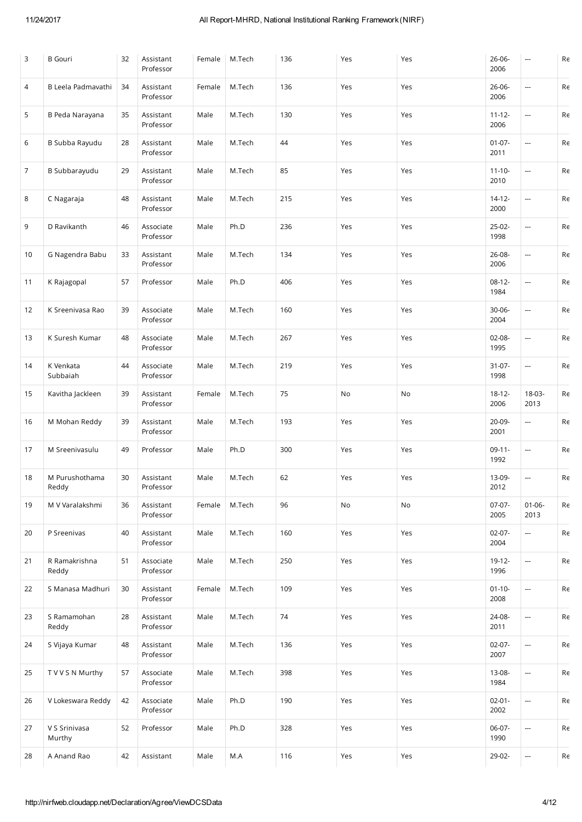| 3              | <b>B</b> Gouri          | 32 | Assistant<br>Professor | Female | M.Tech | 136 | Yes | Yes | 26-06-<br>2006      |                          | $\mathsf{Re}% \left( \mathcal{N}\right) =\mathsf{Re}\left( \mathcal{N}\right)$             |
|----------------|-------------------------|----|------------------------|--------|--------|-----|-----|-----|---------------------|--------------------------|--------------------------------------------------------------------------------------------|
| 4              | B Leela Padmavathi      | 34 | Assistant<br>Professor | Female | M.Tech | 136 | Yes | Yes | 26-06-<br>2006      | ---                      | Re                                                                                         |
| 5              | B Peda Narayana         | 35 | Assistant<br>Professor | Male   | M.Tech | 130 | Yes | Yes | $11 - 12 -$<br>2006 | ---                      | Re                                                                                         |
| 6              | B Subba Rayudu          | 28 | Assistant<br>Professor | Male   | M.Tech | 44  | Yes | Yes | $01-07-$<br>2011    | $\overline{\phantom{a}}$ | Re                                                                                         |
| $\overline{7}$ | B Subbarayudu           | 29 | Assistant<br>Professor | Male   | M.Tech | 85  | Yes | Yes | $11 - 10 -$<br>2010 | ---                      | Re                                                                                         |
| 8              | C Nagaraja              | 48 | Assistant<br>Professor | Male   | M.Tech | 215 | Yes | Yes | $14 - 12 -$<br>2000 | ---                      | Re                                                                                         |
| 9              | D Ravikanth             | 46 | Associate<br>Professor | Male   | Ph.D   | 236 | Yes | Yes | 25-02-<br>1998      | $\overline{\phantom{a}}$ | $\mathsf{Re}% \left( \mathcal{N}\right) =\mathsf{Re}\left( \mathcal{N}^{\otimes n}\right)$ |
| 10             | G Nagendra Babu         | 33 | Assistant<br>Professor | Male   | M.Tech | 134 | Yes | Yes | 26-08-<br>2006      | ---                      | Re                                                                                         |
| 11             | K Rajagopal             | 57 | Professor              | Male   | Ph.D   | 406 | Yes | Yes | $08-12-$<br>1984    | ---                      | Re                                                                                         |
| 12             | K Sreenivasa Rao        | 39 | Associate<br>Professor | Male   | M.Tech | 160 | Yes | Yes | $30 - 06 -$<br>2004 | ---                      | Re                                                                                         |
| 13             | K Suresh Kumar          | 48 | Associate<br>Professor | Male   | M.Tech | 267 | Yes | Yes | $02 - 08 -$<br>1995 | ---                      | Re                                                                                         |
| 14             | K Venkata<br>Subbaiah   | 44 | Associate<br>Professor | Male   | M.Tech | 219 | Yes | Yes | $31 - 07 -$<br>1998 | $\overline{\phantom{a}}$ | Re                                                                                         |
| 15             | Kavitha Jackleen        | 39 | Assistant<br>Professor | Female | M.Tech | 75  | No  | No  | $18 - 12 -$<br>2006 | 18-03-<br>2013           | Re                                                                                         |
| 16             | M Mohan Reddy           | 39 | Assistant<br>Professor | Male   | M.Tech | 193 | Yes | Yes | 20-09-<br>2001      | ÷,                       | Re                                                                                         |
| 17             | M Sreenivasulu          | 49 | Professor              | Male   | Ph.D   | 300 | Yes | Yes | $09-11-$<br>1992    | $\overline{\phantom{a}}$ | Re                                                                                         |
| 18             | M Purushothama<br>Reddy | 30 | Assistant<br>Professor | Male   | M.Tech | 62  | Yes | Yes | 13-09-<br>2012      |                          | Re                                                                                         |
| 19             | M V Varalakshmi         | 36 | Assistant<br>Professor | Female | M.Tech | 96  | No  | No  | $07-07-$<br>2005    | $01 - 06 -$<br>2013      | Re                                                                                         |
| 20             | P Sreenivas             | 40 | Assistant<br>Professor | Male   | M.Tech | 160 | Yes | Yes | $02-07-$<br>2004    | ÷,                       | Re                                                                                         |
| 21             | R Ramakrishna<br>Reddy  | 51 | Associate<br>Professor | Male   | M.Tech | 250 | Yes | Yes | $19-12-$<br>1996    | $\overline{\phantom{a}}$ | Re                                                                                         |
| 22             | S Manasa Madhuri        | 30 | Assistant<br>Professor | Female | M.Tech | 109 | Yes | Yes | $01 - 10 -$<br>2008 | $\overline{\phantom{a}}$ | Re                                                                                         |
| 23             | S Ramamohan<br>Reddy    | 28 | Assistant<br>Professor | Male   | M.Tech | 74  | Yes | Yes | 24-08-<br>2011      | $\overline{\phantom{a}}$ | Re                                                                                         |
| 24             | S Vijaya Kumar          | 48 | Assistant<br>Professor | Male   | M.Tech | 136 | Yes | Yes | $02 - 07 -$<br>2007 |                          | Re                                                                                         |
| 25             | T V V S N Murthy        | 57 | Associate<br>Professor | Male   | M.Tech | 398 | Yes | Yes | 13-08-<br>1984      | $\overline{\phantom{a}}$ | Re                                                                                         |
| 26             | V Lokeswara Reddy       | 42 | Associate<br>Professor | Male   | Ph.D   | 190 | Yes | Yes | $02 - 01 -$<br>2002 | ---                      | Re                                                                                         |
| 27             | V S Srinivasa<br>Murthy | 52 | Professor              | Male   | Ph.D   | 328 | Yes | Yes | $06-07-$<br>1990    | $\overline{\phantom{a}}$ | Re                                                                                         |
| 28             | A Anand Rao             | 42 | Assistant              | Male   | M.A    | 116 | Yes | Yes | 29-02-              | $\overline{\phantom{a}}$ | Re                                                                                         |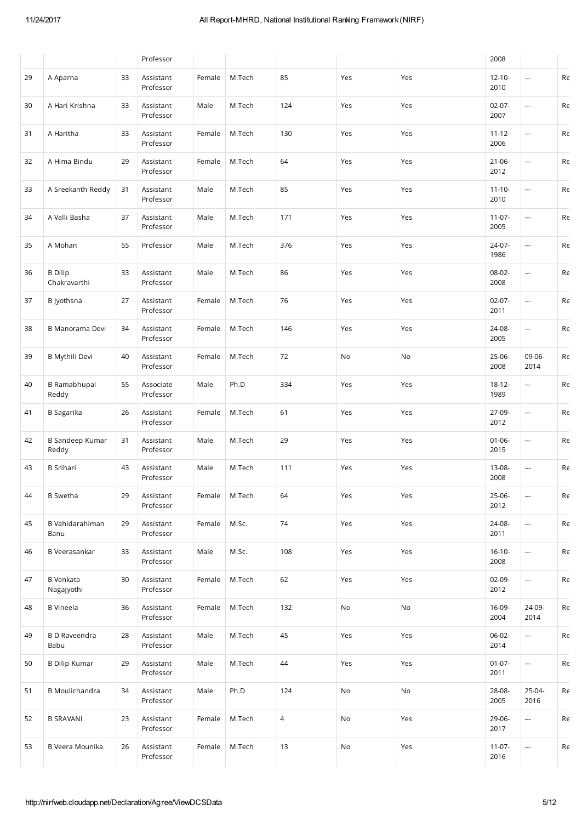|    |                                 |    | Professor              |        |        |                |     |     | 2008                |                          |    |
|----|---------------------------------|----|------------------------|--------|--------|----------------|-----|-----|---------------------|--------------------------|----|
| 29 | A Aparna                        | 33 | Assistant<br>Professor | Female | M.Tech | 85             | Yes | Yes | $12 - 10 -$<br>2010 | ÷,                       | Re |
| 30 | A Hari Krishna                  | 33 | Assistant<br>Professor | Male   | M.Tech | 124            | Yes | Yes | $02 - 07 -$<br>2007 | ---                      | Re |
| 31 | A Haritha                       | 33 | Assistant<br>Professor | Female | M.Tech | 130            | Yes | Yes | $11 - 12 -$<br>2006 | ---                      | Re |
| 32 | A Hima Bindu                    | 29 | Assistant<br>Professor | Female | M.Tech | 64             | Yes | Yes | $21 - 06 -$<br>2012 | ---                      | Re |
| 33 | A Sreekanth Reddy               | 31 | Assistant<br>Professor | Male   | M.Tech | 85             | Yes | Yes | $11 - 10 -$<br>2010 | ÷,                       | Re |
| 34 | A Valli Basha                   | 37 | Assistant<br>Professor | Male   | M.Tech | 171            | Yes | Yes | $11-07-$<br>2005    | $\overline{\phantom{a}}$ | Re |
| 35 | A Mohan                         | 55 | Professor              | Male   | M.Tech | 376            | Yes | Yes | 24-07-<br>1986      | ---                      | Re |
| 36 | <b>B</b> Dilip<br>Chakravarthi  | 33 | Assistant<br>Professor | Male   | M.Tech | 86             | Yes | Yes | 08-02-<br>2008      | ---                      | Re |
| 37 | B Jyothsna                      | 27 | Assistant<br>Professor | Female | M.Tech | 76             | Yes | Yes | $02 - 07 -$<br>2011 |                          | Re |
| 38 | <b>B Manorama Devi</b>          | 34 | Assistant<br>Professor | Female | M.Tech | 146            | Yes | Yes | 24-08-<br>2005      | ---                      | Re |
| 39 | <b>B Mythili Devi</b>           | 40 | Assistant<br>Professor | Female | M.Tech | 72             | No  | No  | 25-06-<br>2008      | 09-06-<br>2014           | Re |
| 40 | <b>B</b> Ramabhupal<br>Reddy    | 55 | Associate<br>Professor | Male   | Ph.D   | 334            | Yes | Yes | $18 - 12 -$<br>1989 | ---                      | Re |
| 41 | <b>B</b> Sagarika               | 26 | Assistant<br>Professor | Female | M.Tech | 61             | Yes | Yes | 27-09-<br>2012      | ÷,                       | Re |
| 42 | <b>B Sandeep Kumar</b><br>Reddy | 31 | Assistant<br>Professor | Male   | M.Tech | 29             | Yes | Yes | $01 - 06 -$<br>2015 | $\overline{\phantom{a}}$ | Re |
| 43 | <b>B</b> Srihari                | 43 | Assistant<br>Professor | Male   | M.Tech | 111            | Yes | Yes | 13-08-<br>2008      | ---                      | Re |
| 44 | <b>B</b> Swetha                 | 29 | Assistant<br>Professor | Female | M.Tech | 64             | Yes | Yes | 25-06-<br>2012      | --                       | Re |
| 45 | B Vahidarahiman<br>Banu         | 29 | Assistant<br>Professor | Female | M.Sc.  | 74             | Yes | Yes | 24-08-<br>2011      | ---                      | Re |
| 46 | <b>B</b> Veerasankar            | 33 | Assistant<br>Professor | Male   | M.Sc.  | 108            | Yes | Yes | $16-10-$<br>2008    | ---                      | Re |
| 47 | <b>B</b> Venkata<br>Nagajyothi  | 30 | Assistant<br>Professor | Female | M.Tech | 62             | Yes | Yes | 02-09-<br>2012      | ---                      | Re |
| 48 | <b>B</b> Vineela                | 36 | Assistant<br>Professor | Female | M.Tech | 132            | No  | No  | 16-09-<br>2004      | 24-09-<br>2014           | Re |
| 49 | <b>BD</b> Raveendra<br>Babu     | 28 | Assistant<br>Professor | Male   | M.Tech | 45             | Yes | Yes | 06-02-<br>2014      | ---                      | Re |
| 50 | <b>B Dilip Kumar</b>            | 29 | Assistant<br>Professor | Male   | M.Tech | $44\,$         | Yes | Yes | $01 - 07 -$<br>2011 | ÷,                       | Re |
| 51 | <b>B</b> Moulichandra           | 34 | Assistant<br>Professor | Male   | Ph.D   | 124            | No  | No  | 28-08-<br>2005      | 25-04-<br>2016           | Re |
| 52 | <b>B SRAVANI</b>                | 23 | Assistant<br>Professor | Female | M.Tech | $\overline{4}$ | No  | Yes | 29-06-<br>2017      | $\overline{\phantom{a}}$ | Re |
| 53 | B Veera Mounika                 | 26 | Assistant<br>Professor | Female | M.Tech | $13$           | No  | Yes | $11 - 07 -$<br>2016 | $\overline{\phantom{a}}$ | Re |
|    |                                 |    |                        |        |        |                |     |     |                     |                          |    |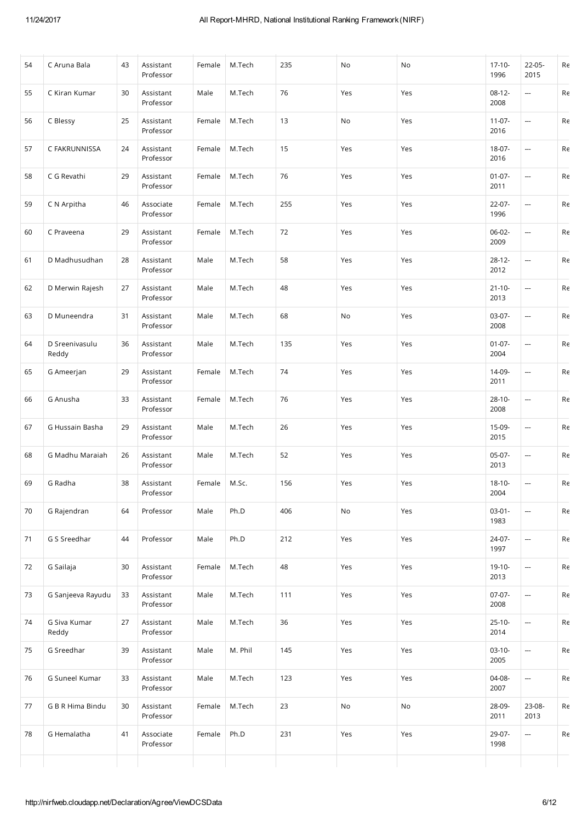| 54 | C Aruna Bala            | 43 | Assistant<br>Professor | Female | M.Tech  | 235 | No  | No  | $17-10-$<br>1996    | 22-05-<br>2015           | Re |
|----|-------------------------|----|------------------------|--------|---------|-----|-----|-----|---------------------|--------------------------|----|
| 55 | C Kiran Kumar           | 30 | Assistant<br>Professor | Male   | M.Tech  | 76  | Yes | Yes | $08-12-$<br>2008    | ---                      | Re |
| 56 | C Blessy                | 25 | Assistant<br>Professor | Female | M.Tech  | 13  | No  | Yes | $11-07-$<br>2016    | --                       | Re |
| 57 | C FAKRUNNISSA           | 24 | Assistant<br>Professor | Female | M.Tech  | 15  | Yes | Yes | 18-07-<br>2016      | $\hspace{0.05cm} \cdots$ | Re |
| 58 | C G Revathi             | 29 | Assistant<br>Professor | Female | M.Tech  | 76  | Yes | Yes | $01 - 07 -$<br>2011 | ---                      | Re |
| 59 | C N Arpitha             | 46 | Associate<br>Professor | Female | M.Tech  | 255 | Yes | Yes | $22 - 07 -$<br>1996 | ---                      | Re |
| 60 | C Praveena              | 29 | Assistant<br>Professor | Female | M.Tech  | 72  | Yes | Yes | 06-02-<br>2009      | $\hspace{0.05cm} \cdots$ | Re |
| 61 | D Madhusudhan           | 28 | Assistant<br>Professor | Male   | M.Tech  | 58  | Yes | Yes | $28-12-$<br>2012    |                          | Re |
| 62 | D Merwin Rajesh         | 27 | Assistant<br>Professor | Male   | M.Tech  | 48  | Yes | Yes | $21 - 10 -$<br>2013 | ---                      | Re |
| 63 | D Muneendra             | 31 | Assistant<br>Professor | Male   | M.Tech  | 68  | No  | Yes | $03-07-$<br>2008    | ---                      | Re |
| 64 | D Sreenivasulu<br>Reddy | 36 | Assistant<br>Professor | Male   | M.Tech  | 135 | Yes | Yes | $01 - 07 -$<br>2004 | ---                      | Re |
| 65 | G Ameerjan              | 29 | Assistant<br>Professor | Female | M.Tech  | 74  | Yes | Yes | 14-09-<br>2011      | $\hspace{0.05cm} \cdots$ | Re |
| 66 | G Anusha                | 33 | Assistant<br>Professor | Female | M.Tech  | 76  | Yes | Yes | $28-10-$<br>2008    | ---                      | Re |
| 67 | G Hussain Basha         | 29 | Assistant<br>Professor | Male   | M.Tech  | 26  | Yes | Yes | 15-09-<br>2015      | ---                      | Re |
| 68 | G Madhu Maraiah         | 26 | Assistant<br>Professor | Male   | M.Tech  | 52  | Yes | Yes | 05-07-<br>2013      | ---                      | Re |
| 69 | G Radha                 | 38 | Assistant<br>Professor | Female | M.Sc.   | 156 | Yes | Yes | $18-10-$<br>2004    | --                       | Re |
| 70 | G Rajendran             | 64 | Professor              | Male   | Ph.D    | 406 | No  | Yes | $03 - 01 -$<br>1983 | $\overline{\phantom{a}}$ | Re |
| 71 | G S Sreedhar            | 44 | Professor              | Male   | Ph.D    | 212 | Yes | Yes | 24-07-<br>1997      | ---                      | Re |
| 72 | G Sailaja               | 30 | Assistant<br>Professor | Female | M.Tech  | 48  | Yes | Yes | $19-10-$<br>2013    | ---                      | Re |
| 73 | G Sanjeeva Rayudu       | 33 | Assistant<br>Professor | Male   | M.Tech  | 111 | Yes | Yes | $07-07-$<br>2008    | ---                      | Re |
| 74 | G Siva Kumar<br>Reddy   | 27 | Assistant<br>Professor | Male   | M.Tech  | 36  | Yes | Yes | $25-10-$<br>2014    | $\overline{\phantom{a}}$ | Re |
| 75 | G Sreedhar              | 39 | Assistant<br>Professor | Male   | M. Phil | 145 | Yes | Yes | $03-10-$<br>2005    | ÷,                       | Re |
| 76 | G Suneel Kumar          | 33 | Assistant<br>Professor | Male   | M.Tech  | 123 | Yes | Yes | 04-08-<br>2007      | ---                      | Re |
| 77 | G B R Hima Bindu        | 30 | Assistant<br>Professor | Female | M.Tech  | 23  | No  | No  | 28-09-<br>2011      | 23-08-<br>2013           | Re |
| 78 | G Hemalatha             | 41 | Associate<br>Professor | Female | Ph.D    | 231 | Yes | Yes | 29-07-<br>1998      | $\overline{\phantom{a}}$ | Re |
|    |                         |    |                        |        |         |     |     |     |                     |                          |    |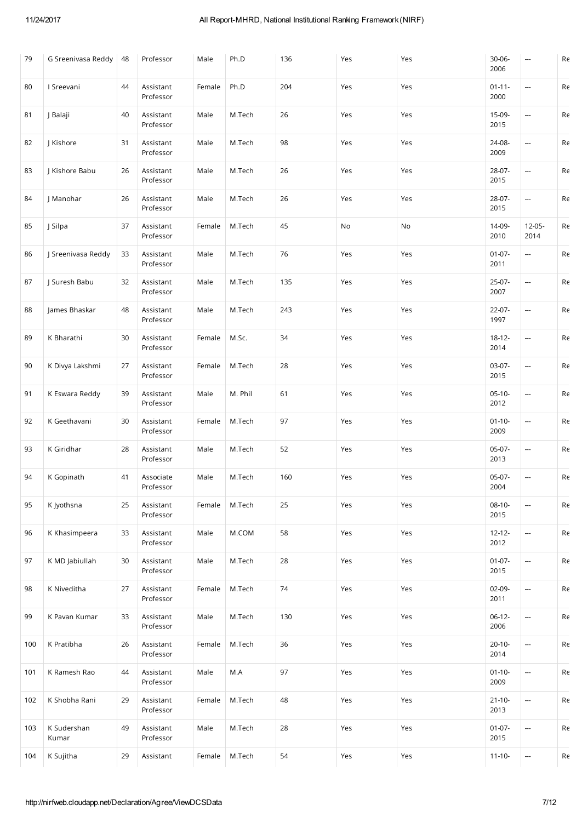| 79  | G Sreenivasa Reddy   | 48 | Professor              | Male   | Ph.D    | 136 | Yes | Yes | 30-06-<br>2006      | ---                      | $\mathsf{Re}% \left( \mathcal{N}\right) =\mathsf{Re}\left( \mathcal{N}\right)$             |
|-----|----------------------|----|------------------------|--------|---------|-----|-----|-----|---------------------|--------------------------|--------------------------------------------------------------------------------------------|
| 80  | I Sreevani           | 44 | Assistant<br>Professor | Female | Ph.D    | 204 | Yes | Yes | $01 - 11 -$<br>2000 | ---                      | $\mathsf{Re}% \left( \mathcal{N}\right) =\mathsf{Re}\left( \mathcal{N}^{\otimes n}\right)$ |
| 81  | J Balaji             | 40 | Assistant<br>Professor | Male   | M.Tech  | 26  | Yes | Yes | 15-09-<br>2015      | ---                      | Re                                                                                         |
| 82  | J Kishore            | 31 | Assistant<br>Professor | Male   | M.Tech  | 98  | Yes | Yes | 24-08-<br>2009      | ---                      | Re                                                                                         |
| 83  | J Kishore Babu       | 26 | Assistant<br>Professor | Male   | M.Tech  | 26  | Yes | Yes | 28-07-<br>2015      | ÷,                       | Re                                                                                         |
| 84  | J Manohar            | 26 | Assistant<br>Professor | Male   | M.Tech  | 26  | Yes | Yes | 28-07-<br>2015      | ---                      | Re                                                                                         |
| 85  | J Silpa              | 37 | Assistant<br>Professor | Female | M.Tech  | 45  | No  | No  | 14-09-<br>2010      | $12 - 05 -$<br>2014      | Re                                                                                         |
| 86  | J Sreenivasa Reddy   | 33 | Assistant<br>Professor | Male   | M.Tech  | 76  | Yes | Yes | $01 - 07 -$<br>2011 | $\overline{\phantom{a}}$ | Re                                                                                         |
| 87  | J Suresh Babu        | 32 | Assistant<br>Professor | Male   | M.Tech  | 135 | Yes | Yes | 25-07-<br>2007      |                          | Re                                                                                         |
| 88  | James Bhaskar        | 48 | Assistant<br>Professor | Male   | M.Tech  | 243 | Yes | Yes | $22-07-$<br>1997    | ---                      | $\mathsf{Re}% \left( \mathcal{N}\right) =\mathsf{Re}\left( \mathcal{N}^{\otimes n}\right)$ |
| 89  | K Bharathi           | 30 | Assistant<br>Professor | Female | M.Sc.   | 34  | Yes | Yes | $18 - 12 -$<br>2014 | ---                      | Re                                                                                         |
| 90  | K Divya Lakshmi      | 27 | Assistant<br>Professor | Female | M.Tech  | 28  | Yes | Yes | 03-07-<br>2015      | $\overline{\phantom{a}}$ | Re                                                                                         |
| 91  | K Eswara Reddy       | 39 | Assistant<br>Professor | Male   | M. Phil | 61  | Yes | Yes | $05-10-$<br>2012    | ÷,                       | Re                                                                                         |
| 92  | K Geethavani         | 30 | Assistant<br>Professor | Female | M.Tech  | 97  | Yes | Yes | $01 - 10 -$<br>2009 | ---                      | Re                                                                                         |
| 93  | K Giridhar           | 28 | Assistant<br>Professor | Male   | M.Tech  | 52  | Yes | Yes | 05-07-<br>2013      | ---                      | Re                                                                                         |
| 94  | K Gopinath           | 41 | Associate<br>Professor | Male   | M.Tech  | 160 | Yes | Yes | 05-07-<br>2004      | ---                      | Re                                                                                         |
| 95  | K Jyothsna           | 25 | Assistant<br>Professor | Female | M.Tech  | 25  | Yes | Yes | $08-10-$<br>2015    | ---                      | Re                                                                                         |
| 96  | K Khasimpeera        | 33 | Assistant<br>Professor | Male   | M.COM   | 58  | Yes | Yes | $12 - 12 -$<br>2012 | $\overline{\phantom{a}}$ | Re                                                                                         |
| 97  | K MD Jabiullah       | 30 | Assistant<br>Professor | Male   | M.Tech  | 28  | Yes | Yes | $01-07-$<br>2015    | ---                      | Re                                                                                         |
| 98  | K Niveditha          | 27 | Assistant<br>Professor | Female | M.Tech  | 74  | Yes | Yes | $02-09-$<br>2011    | ---                      | Re                                                                                         |
| 99  | K Pavan Kumar        | 33 | Assistant<br>Professor | Male   | M.Tech  | 130 | Yes | Yes | $06-12-$<br>2006    |                          | Re                                                                                         |
| 100 | K Pratibha           | 26 | Assistant<br>Professor | Female | M.Tech  | 36  | Yes | Yes | $20-10-$<br>2014    | ---                      | Re                                                                                         |
| 101 | K Ramesh Rao         | 44 | Assistant<br>Professor | Male   | M.A     | 97  | Yes | Yes | $01 - 10 -$<br>2009 | ---                      | Re                                                                                         |
| 102 | K Shobha Rani        | 29 | Assistant<br>Professor | Female | M.Tech  | 48  | Yes | Yes | $21 - 10 -$<br>2013 | $\overline{\phantom{a}}$ | Re                                                                                         |
| 103 | K Sudershan<br>Kumar | 49 | Assistant<br>Professor | Male   | M.Tech  | 28  | Yes | Yes | $01 - 07 -$<br>2015 |                          | Re                                                                                         |
| 104 | K Sujitha            | 29 | Assistant              | Female | M.Tech  | 54  | Yes | Yes | $11 - 10 -$         | ---                      | Re                                                                                         |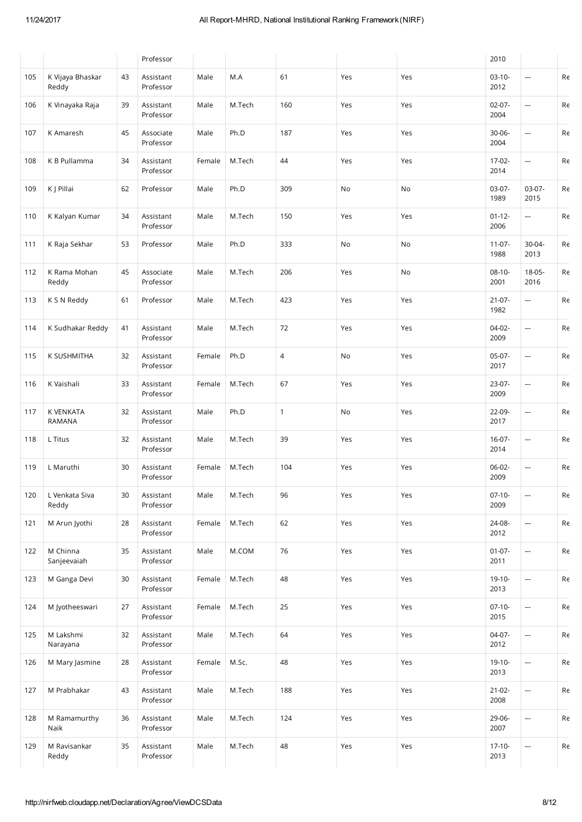|     |                           |    | Professor              |        |        |                |     |     | 2010                |                          |    |
|-----|---------------------------|----|------------------------|--------|--------|----------------|-----|-----|---------------------|--------------------------|----|
| 105 | K Vijaya Bhaskar<br>Reddy | 43 | Assistant<br>Professor | Male   | M.A    | 61             | Yes | Yes | $03-10-$<br>2012    |                          | Re |
| 106 | K Vinayaka Raja           | 39 | Assistant<br>Professor | Male   | M.Tech | 160            | Yes | Yes | $02 - 07 -$<br>2004 | ---                      | Re |
| 107 | K Amaresh                 | 45 | Associate<br>Professor | Male   | Ph.D   | 187            | Yes | Yes | 30-06-<br>2004      |                          | Re |
| 108 | K B Pullamma              | 34 | Assistant<br>Professor | Female | M.Tech | 44             | Yes | Yes | 17-02-<br>2014      | $\overline{\phantom{a}}$ | Re |
| 109 | K J Pillai                | 62 | Professor              | Male   | Ph.D   | 309            | No  | No  | 03-07-<br>1989      | $03-07-$<br>2015         | Re |
| 110 | K Kalyan Kumar            | 34 | Assistant<br>Professor | Male   | M.Tech | 150            | Yes | Yes | $01 - 12 -$<br>2006 | $\overline{\phantom{a}}$ | Re |
| 111 | K Raja Sekhar             | 53 | Professor              | Male   | Ph.D   | 333            | No  | No  | $11-07-$<br>1988    | 30-04-<br>2013           | Re |
| 112 | K Rama Mohan<br>Reddy     | 45 | Associate<br>Professor | Male   | M.Tech | 206            | Yes | No  | $08-10-$<br>2001    | 18-05-<br>2016           | Re |
| 113 | K S N Reddy               | 61 | Professor              | Male   | M.Tech | 423            | Yes | Yes | $21 - 07 -$<br>1982 |                          | Re |
| 114 | K Sudhakar Reddy          | 41 | Assistant<br>Professor | Male   | M.Tech | 72             | Yes | Yes | $04-02-$<br>2009    | ---                      | Re |
| 115 | K SUSHMITHA               | 32 | Assistant<br>Professor | Female | Ph.D   | $\overline{4}$ | No  | Yes | $05-07-$<br>2017    |                          | Re |
| 116 | K Vaishali                | 33 | Assistant<br>Professor | Female | M.Tech | 67             | Yes | Yes | 23-07-<br>2009      | ---                      | Re |
| 117 | K VENKATA<br>RAMANA       | 32 | Assistant<br>Professor | Male   | Ph.D   | $\mathbf{1}$   | No  | Yes | 22-09-<br>2017      | ---                      | Re |
| 118 | L Titus                   | 32 | Assistant<br>Professor | Male   | M.Tech | 39             | Yes | Yes | $16-07-$<br>2014    |                          | Re |
| 119 | L Maruthi                 | 30 | Assistant<br>Professor | Female | M.Tech | 104            | Yes | Yes | 06-02-<br>2009      | ---                      | Re |
| 120 | L Venkata Siva<br>Reddy   | 30 | Assistant<br>Professor | Male   | M.Tech | 96             | Yes | Yes | $07-10-$<br>2009    |                          | Re |
| 121 | M Arun Jyothi             | 28 | Assistant<br>Professor | Female | M.Tech | 62             | Yes | Yes | 24-08-<br>2012      | ---                      | Re |
| 122 | M Chinna<br>Sanjeevaiah   | 35 | Assistant<br>Professor | Male   | M.COM  | 76             | Yes | Yes | $01 - 07 -$<br>2011 | ---                      | Re |
| 123 | M Ganga Devi              | 30 | Assistant<br>Professor | Female | M.Tech | 48             | Yes | Yes | $19-10-$<br>2013    | <b></b>                  | Re |
| 124 | M Jyotheeswari            | 27 | Assistant<br>Professor | Female | M.Tech | 25             | Yes | Yes | $07-10-$<br>2015    | ---                      | Re |
| 125 | M Lakshmi<br>Narayana     | 32 | Assistant<br>Professor | Male   | M.Tech | 64             | Yes | Yes | $04-07-$<br>2012    | ---                      | Re |
| 126 | M Mary Jasmine            | 28 | Assistant<br>Professor | Female | M.Sc.  | 48             | Yes | Yes | $19-10-$<br>2013    | ---                      | Re |
| 127 | M Prabhakar               | 43 | Assistant<br>Professor | Male   | M.Tech | 188            | Yes | Yes | $21 - 02 -$<br>2008 | $\overline{a}$           | Re |
| 128 | M Ramamurthy<br>Naik      | 36 | Assistant<br>Professor | Male   | M.Tech | 124            | Yes | Yes | 29-06-<br>2007      | ---                      | Re |
| 129 | M Ravisankar<br>Reddy     | 35 | Assistant<br>Professor | Male   | M.Tech | 48             | Yes | Yes | $17 - 10 -$<br>2013 | ---                      | Re |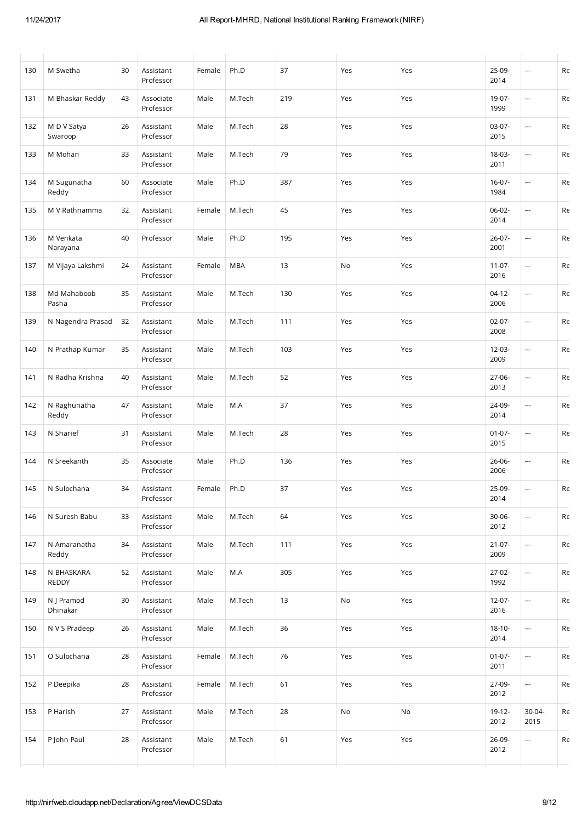| 130 | M Swetha               | 30 | Assistant<br>Professor | Female      | Ph.D       | 37  | Yes | Yes | 25-09-<br>2014      | ---                      | Re |
|-----|------------------------|----|------------------------|-------------|------------|-----|-----|-----|---------------------|--------------------------|----|
| 131 | M Bhaskar Reddy        | 43 | Associate<br>Professor | Male        | M.Tech     | 219 | Yes | Yes | 19-07-<br>1999      |                          | Re |
| 132 | M D V Satya<br>Swaroop | 26 | Assistant<br>Professor | Male        | M.Tech     | 28  | Yes | Yes | $03-07-$<br>2015    | ---                      | Re |
| 133 | M Mohan                | 33 | Assistant<br>Professor | Male        | M.Tech     | 79  | Yes | Yes | 18-03-<br>2011      | ---                      | Re |
| 134 | M Sugunatha<br>Reddy   | 60 | Associate<br>Professor | Male        | Ph.D       | 387 | Yes | Yes | $16-07-$<br>1984    |                          | Re |
| 135 | M V Rathnamma          | 32 | Assistant<br>Professor | Female      | M.Tech     | 45  | Yes | Yes | 06-02-<br>2014      |                          | Re |
| 136 | M Venkata<br>Narayana  | 40 | Professor              | Male        | Ph.D       | 195 | Yes | Yes | $26 - 07 -$<br>2001 |                          | Re |
| 137 | M Vijaya Lakshmi       | 24 | Assistant<br>Professor | Female      | <b>MBA</b> | 13  | No  | Yes | $11-07-$<br>2016    | ---                      | Re |
| 138 | Md Mahaboob<br>Pasha   | 35 | Assistant<br>Professor | Male        | M.Tech     | 130 | Yes | Yes | $04-12-$<br>2006    |                          | Re |
| 139 | N Nagendra Prasad      | 32 | Assistant<br>Professor | Male        | M.Tech     | 111 | Yes | Yes | $02-07-$<br>2008    |                          | Re |
| 140 | N Prathap Kumar        | 35 | Assistant<br>Professor | Male        | M.Tech     | 103 | Yes | Yes | $12 - 03 -$<br>2009 |                          | Re |
| 141 | N Radha Krishna        | 40 | Assistant<br>Professor | Male        | M.Tech     | 52  | Yes | Yes | 27-06-<br>2013      | ---                      | Re |
| 142 | N Raghunatha<br>Reddy  | 47 | Assistant<br>Professor | Male        | M.A        | 37  | Yes | Yes | 24-09-<br>2014      |                          | Re |
| 143 | N Sharief              | 31 | Assistant<br>Professor | Male        | M.Tech     | 28  | Yes | Yes | $01 - 07 -$<br>2015 |                          | Re |
| 144 | N Sreekanth            | 35 | Associate<br>Professor | Male        | Ph.D       | 136 | Yes | Yes | 26-06-<br>2006      |                          | Re |
| 145 | N Sulochana            | 34 | Assistant<br>Professor | Female Ph.D |            | 37  | Yes | Yes | 25-09-<br>2014      | ---                      | Re |
| 146 | N Suresh Babu          | 33 | Assistant<br>Professor | Male        | M.Tech     | 64  | Yes | Yes | $30 - 06 -$<br>2012 | ---                      | Re |
| 147 | N Amaranatha<br>Reddy  | 34 | Assistant<br>Professor | Male        | M.Tech     | 111 | Yes | Yes | $21-07-$<br>2009    | ---                      | Re |
| 148 | N BHASKARA<br>REDDY    | 52 | Assistant<br>Professor | Male        | M.A        | 305 | Yes | Yes | $27-02-$<br>1992    | ---                      | Re |
| 149 | N J Pramod<br>Dhinakar | 30 | Assistant<br>Professor | Male        | M.Tech     | 13  | No  | Yes | 12-07-<br>2016      | ---                      | Re |
| 150 | N V S Pradeep          | 26 | Assistant<br>Professor | Male        | M.Tech     | 36  | Yes | Yes | $18-10-$<br>2014    | ---                      | Re |
| 151 | O Sulochana            | 28 | Assistant<br>Professor | Female      | M.Tech     | 76  | Yes | Yes | $01 - 07 -$<br>2011 | $\overline{\phantom{a}}$ | Re |
| 152 | P Deepika              | 28 | Assistant<br>Professor | Female      | M.Tech     | 61  | Yes | Yes | 27-09-<br>2012      | ---                      | Re |
| 153 | P Harish               | 27 | Assistant<br>Professor | Male        | M.Tech     | 28  | No  | No  | 19-12-<br>2012      | 30-04-<br>2015           | Re |
| 154 | P John Paul            | 28 | Assistant<br>Professor | Male        | M.Tech     | 61  | Yes | Yes | 26-09-<br>2012      | ---                      | Re |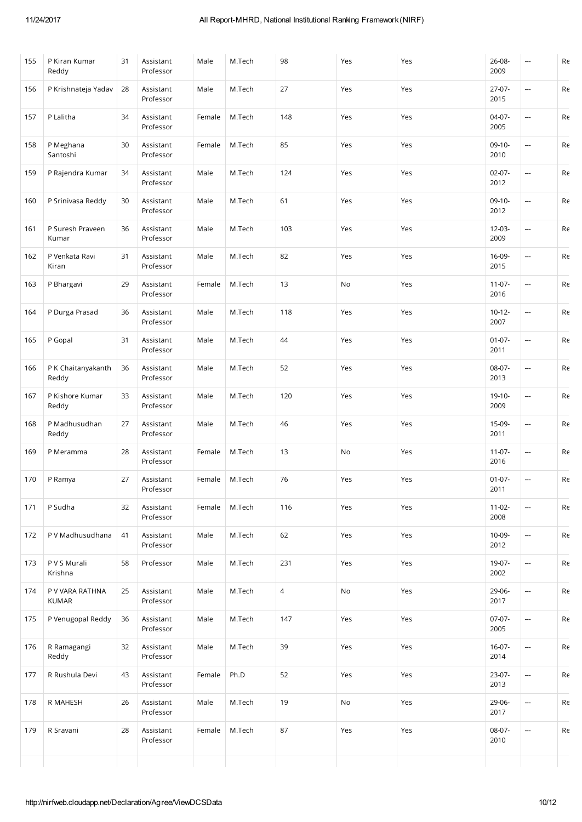| 155 | P Kiran Kumar<br>Reddy          | 31 | Assistant<br>Professor | Male   | M.Tech | 98  | Yes | Yes | 26-08-<br>2009      | ---                      | Re |
|-----|---------------------------------|----|------------------------|--------|--------|-----|-----|-----|---------------------|--------------------------|----|
| 156 | P Krishnateja Yadav             | 28 | Assistant<br>Professor | Male   | M.Tech | 27  | Yes | Yes | $27-07-$<br>2015    | <u></u>                  | Re |
| 157 | P Lalitha                       | 34 | Assistant<br>Professor | Female | M.Tech | 148 | Yes | Yes | $04-07-$<br>2005    | ---                      | Re |
| 158 | P Meghana<br>Santoshi           | 30 | Assistant<br>Professor | Female | M.Tech | 85  | Yes | Yes | $09-10-$<br>2010    | <u></u>                  | Re |
| 159 | P Rajendra Kumar                | 34 | Assistant<br>Professor | Male   | M.Tech | 124 | Yes | Yes | $02 - 07 -$<br>2012 | $\sim$                   | Re |
| 160 | P Srinivasa Reddy               | 30 | Assistant<br>Professor | Male   | M.Tech | 61  | Yes | Yes | $09-10-$<br>2012    | <u></u>                  | Re |
| 161 | P Suresh Praveen<br>Kumar       | 36 | Assistant<br>Professor | Male   | M.Tech | 103 | Yes | Yes | $12 - 03 -$<br>2009 | $\overline{\phantom{a}}$ | Re |
| 162 | P Venkata Ravi<br>Kiran         | 31 | Assistant<br>Professor | Male   | M.Tech | 82  | Yes | Yes | 16-09-<br>2015      | ---                      | Re |
| 163 | P Bhargavi                      | 29 | Assistant<br>Professor | Female | M.Tech | 13  | No  | Yes | $11 - 07 -$<br>2016 | $\sim$                   | Re |
| 164 | P Durga Prasad                  | 36 | Assistant<br>Professor | Male   | M.Tech | 118 | Yes | Yes | $10-12-$<br>2007    |                          | Re |
| 165 | P Gopal                         | 31 | Assistant<br>Professor | Male   | M.Tech | 44  | Yes | Yes | $01 - 07 -$<br>2011 | $\overline{a}$           | Re |
| 166 | P K Chaitanyakanth<br>Reddy     | 36 | Assistant<br>Professor | Male   | M.Tech | 52  | Yes | Yes | 08-07-<br>2013      | ---                      | Re |
| 167 | P Kishore Kumar<br>Reddy        | 33 | Assistant<br>Professor | Male   | M.Tech | 120 | Yes | Yes | 19-10-<br>2009      | ---                      | Re |
| 168 | P Madhusudhan<br>Reddy          | 27 | Assistant<br>Professor | Male   | M.Tech | 46  | Yes | Yes | 15-09-<br>2011      | ---                      | Re |
| 169 | P Meramma                       | 28 | Assistant<br>Professor | Female | M.Tech | 13  | No  | Yes | $11-07-$<br>2016    | ---                      | Re |
| 170 | P Ramya                         | 27 | Assistant<br>Professor | Female | M.Tech | 76  | Yes | Yes | $01 - 07 -$<br>2011 | ---                      | Re |
| 171 | P Sudha                         | 32 | Assistant<br>Professor | Female | M.Tech | 116 | Yes | Yes | $11 - 02 -$<br>2008 | ---                      | Re |
| 172 | P V Madhusudhana                | 41 | Assistant<br>Professor | Male   | M.Tech | 62  | Yes | Yes | 10-09-<br>2012      |                          | Re |
| 173 | P V S Murali<br>Krishna         | 58 | Professor              | Male   | M.Tech | 231 | Yes | Yes | 19-07-<br>2002      | $\overline{a}$           | Re |
| 174 | P V VARA RATHNA<br><b>KUMAR</b> | 25 | Assistant<br>Professor | Male   | M.Tech | 4   | No  | Yes | 29-06-<br>2017      | <u></u>                  | Re |
| 175 | P Venugopal Reddy               | 36 | Assistant<br>Professor | Male   | M.Tech | 147 | Yes | Yes | $07-07-$<br>2005    |                          | Re |
| 176 | R Ramagangi<br>Reddy            | 32 | Assistant<br>Professor | Male   | M.Tech | 39  | Yes | Yes | $16-07-$<br>2014    | <u></u>                  | Re |
| 177 | R Rushula Devi                  | 43 | Assistant<br>Professor | Female | Ph.D   | 52  | Yes | Yes | $23-07-$<br>2013    | <u></u>                  | Re |
| 178 | R MAHESH                        | 26 | Assistant<br>Professor | Male   | M.Tech | 19  | No  | Yes | 29-06-<br>2017      | $\overline{a}$           | Re |
| 179 | R Sravani                       | 28 | Assistant<br>Professor | Female | M.Tech | 87  | Yes | Yes | 08-07-<br>2010      | ---                      | Re |
|     |                                 |    |                        |        |        |     |     |     |                     |                          |    |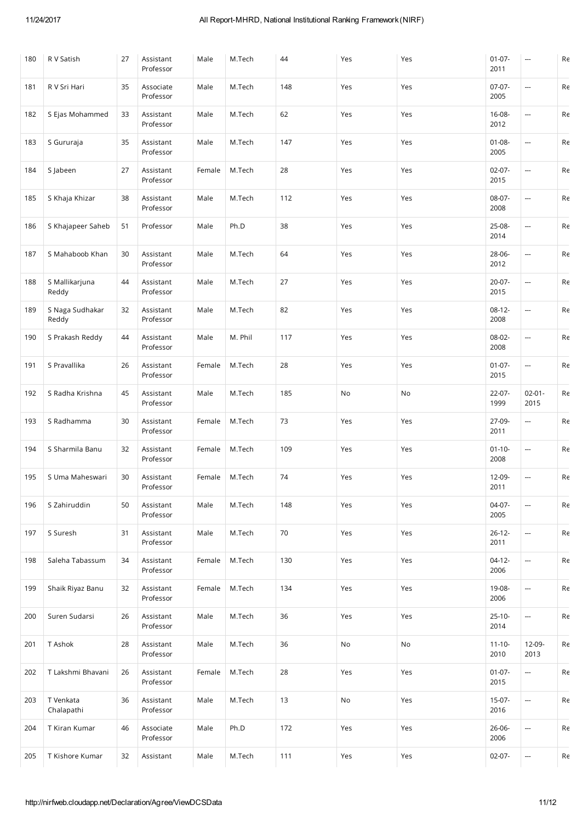| 180 | R V Satish               | 27 | Assistant<br>Professor | Male   | M.Tech  | 44  | Yes           | Yes | $01-07-$<br>2011    | ---                      | Re                                                                                         |
|-----|--------------------------|----|------------------------|--------|---------|-----|---------------|-----|---------------------|--------------------------|--------------------------------------------------------------------------------------------|
| 181 | R V Sri Hari             | 35 | Associate<br>Professor | Male   | M.Tech  | 148 | Yes           | Yes | $07-07-$<br>2005    | ---                      | $\mathsf{Re}% \left( \mathcal{N}\right) =\mathsf{Re}\left( \mathcal{N}^{\otimes n}\right)$ |
| 182 | S Ejas Mohammed          | 33 | Assistant<br>Professor | Male   | M.Tech  | 62  | Yes           | Yes | 16-08-<br>2012      | $\hspace{0.05cm} \cdots$ | Re                                                                                         |
| 183 | S Gururaja               | 35 | Assistant<br>Professor | Male   | M.Tech  | 147 | Yes           | Yes | $01 - 08 -$<br>2005 |                          | Re                                                                                         |
| 184 | S Jabeen                 | 27 | Assistant<br>Professor | Female | M.Tech  | 28  | Yes           | Yes | $02-07-$<br>2015    | $\overline{\phantom{a}}$ | $\mathsf{Re}% \left( \mathcal{N}\right) =\mathsf{Re}\left( \mathcal{N}^{\otimes n}\right)$ |
| 185 | S Khaja Khizar           | 38 | Assistant<br>Professor | Male   | M.Tech  | 112 | Yes           | Yes | 08-07-<br>2008      | ---                      | Re                                                                                         |
| 186 | S Khajapeer Saheb        | 51 | Professor              | Male   | Ph.D    | 38  | Yes           | Yes | 25-08-<br>2014      | $\hspace{0.05cm} \cdots$ | Re                                                                                         |
| 187 | S Mahaboob Khan          | 30 | Assistant<br>Professor | Male   | M.Tech  | 64  | Yes           | Yes | 28-06-<br>2012      |                          | Re                                                                                         |
| 188 | S Mallikarjuna<br>Reddy  | 44 | Assistant<br>Professor | Male   | M.Tech  | 27  | Yes           | Yes | $20-07-$<br>2015    | ---                      | Re                                                                                         |
| 189 | S Naga Sudhakar<br>Reddy | 32 | Assistant<br>Professor | Male   | M.Tech  | 82  | Yes           | Yes | $08-12-$<br>2008    | ---                      | $\mathsf{Re}% \left( \mathcal{N}\right) =\mathsf{Re}\left( \mathcal{N}^{\otimes n}\right)$ |
| 190 | S Prakash Reddy          | 44 | Assistant<br>Professor | Male   | M. Phil | 117 | Yes           | Yes | 08-02-<br>2008      | ---                      | Re                                                                                         |
| 191 | S Pravallika             | 26 | Assistant<br>Professor | Female | M.Tech  | 28  | Yes           | Yes | $01-07-$<br>2015    | ---                      | Re                                                                                         |
| 192 | S Radha Krishna          | 45 | Assistant<br>Professor | Male   | M.Tech  | 185 | No            | No  | $22 - 07 -$<br>1999 | $02 - 01 -$<br>2015      | Re                                                                                         |
| 193 | S Radhamma               | 30 | Assistant<br>Professor | Female | M.Tech  | 73  | Yes           | Yes | 27-09-<br>2011      | $\overline{\phantom{a}}$ | Re                                                                                         |
| 194 | S Sharmila Banu          | 32 | Assistant<br>Professor | Female | M.Tech  | 109 | Yes           | Yes | $01 - 10 -$<br>2008 | ---                      | Re                                                                                         |
| 195 | S Uma Maheswari          | 30 | Assistant<br>Professor | Female | M.Tech  | 74  | Yes           | Yes | 12-09-<br>2011      | ---                      | Re                                                                                         |
| 196 | S Zahiruddin             | 50 | Assistant<br>Professor | Male   | M.Tech  | 148 | Yes           | Yes | 04-07-<br>2005      | ---                      | Re                                                                                         |
| 197 | S Suresh                 | 31 | Assistant<br>Professor | Male   | M.Tech  | 70  | Yes           | Yes | $26 - 12 -$<br>2011 | ---                      | Re                                                                                         |
| 198 | Saleha Tabassum          | 34 | Assistant<br>Professor | Female | M.Tech  | 130 | Yes           | Yes | $04-12-$<br>2006    | $\overline{\phantom{a}}$ | Re                                                                                         |
| 199 | Shaik Riyaz Banu         | 32 | Assistant<br>Professor | Female | M.Tech  | 134 | Yes           | Yes | 19-08-<br>2006      | ---                      | Re                                                                                         |
| 200 | Suren Sudarsi            | 26 | Assistant<br>Professor | Male   | M.Tech  | 36  | Yes           | Yes | $25-10-$<br>2014    | ---                      | Re                                                                                         |
| 201 | T Ashok                  | 28 | Assistant<br>Professor | Male   | M.Tech  | 36  | $\mathsf{No}$ | No  | $11 - 10 -$<br>2010 | 12-09-<br>2013           | Re                                                                                         |
| 202 | T Lakshmi Bhavani        | 26 | Assistant<br>Professor | Female | M.Tech  | 28  | Yes           | Yes | $01 - 07 -$<br>2015 | $\overline{\phantom{a}}$ | Re                                                                                         |
| 203 | T Venkata<br>Chalapathi  | 36 | Assistant<br>Professor | Male   | M.Tech  | 13  | No            | Yes | $15-07-$<br>2016    | ---                      | Re                                                                                         |
| 204 | T Kiran Kumar            | 46 | Associate<br>Professor | Male   | Ph.D    | 172 | Yes           | Yes | 26-06-<br>2006      | ---                      | Re                                                                                         |
| 205 | T Kishore Kumar          | 32 | Assistant              | Male   | M.Tech  | 111 | Yes           | Yes | 02-07-              | ---                      | Re                                                                                         |